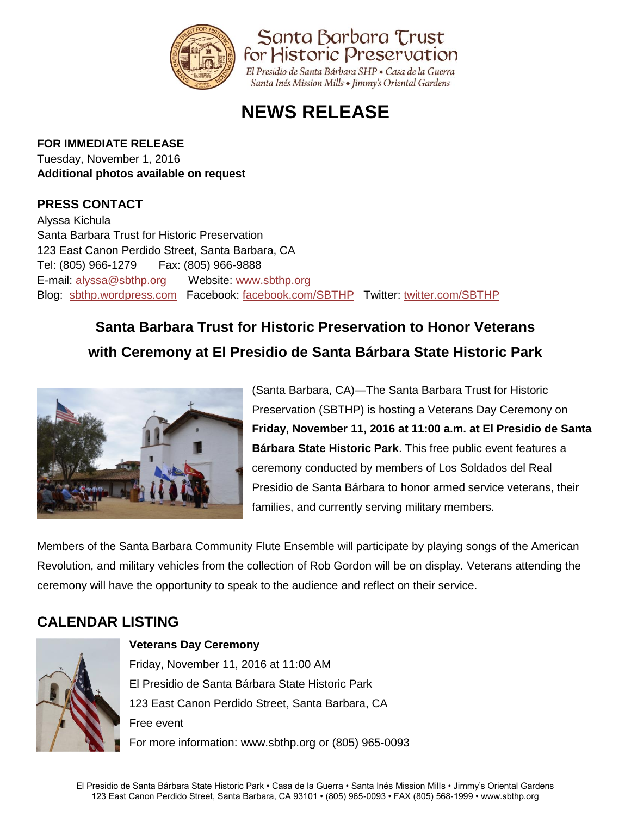

# **NEWS RELEASE**

#### **FOR IMMEDIATE RELEASE**

Tuesday, November 1, 2016 **Additional photos available on request** 

### **PRESS CONTACT**

Alyssa Kichula Santa Barbara Trust for Historic Preservation 123 East Canon Perdido Street, Santa Barbara, CA Tel: (805) 966-1279 Fax: (805) 966-9888 E-mail: [alyssa@sbthp.org](mailto:alyssa@sbthp.org) Website: [www.sbthp.org](http://www.sbthp.org/) Blog: [sbthp.wordpress.com](http://sbthp.wordpress.com/) Facebook: [facebook.com/SBTHP](http://www.facebook.com/SBTHP) Twitter: [twitter.com/SBTHP](http://twitter.com/SBTHP)

# **Santa Barbara Trust for Historic Preservation to Honor Veterans with Ceremony at El Presidio de Santa Bárbara State Historic Park**



(Santa Barbara, CA)—The Santa Barbara Trust for Historic Preservation (SBTHP) is hosting a Veterans Day Ceremony on **Friday, November 11, 2016 at 11:00 a.m. at El Presidio de Santa Bárbara State Historic Park**. This free public event features a ceremony conducted by members of Los Soldados del Real Presidio de Santa Bárbara to honor armed service veterans, their families, and currently serving military members.

Members of the Santa Barbara Community Flute Ensemble will participate by playing songs of the American Revolution, and military vehicles from the collection of Rob Gordon will be on display. Veterans attending the ceremony will have the opportunity to speak to the audience and reflect on their service.

## **CALENDAR LISTING**



#### **Veterans Day Ceremony**

Friday, November 11, 2016 at 11:00 AM El Presidio de Santa Bárbara State Historic Park 123 East Canon Perdido Street, Santa Barbara, CA Free event For more information: www.sbthp.org or (805) 965-0093